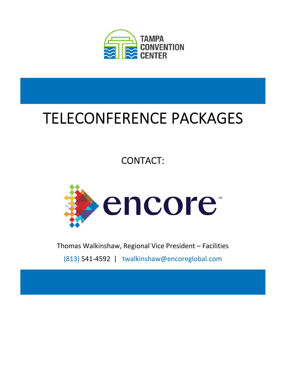

## TELECONFERENCE PACKAGES

## CONTACT:



Thomas Walkinshaw, Regional Vice President – Facilities

(813) 541-4592 | twalkinshaw@encoreglobal.com